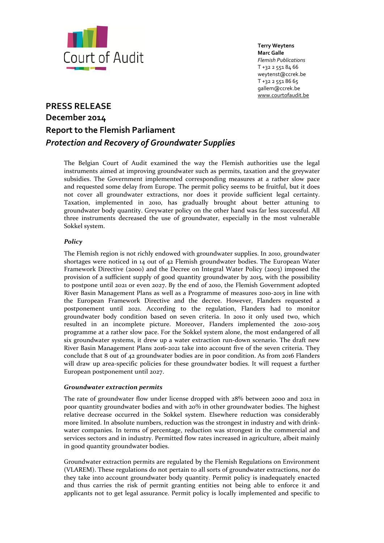

**Terry Weytens Marc Galle** *Flemish Publications* T +32 2 551 84 66 weytenst@ccrek.be T +32 2 551 86 65 gallem@ccrek.be [www.courtofaudit.be](http://www.courtofaudit.be/)

# **PRESS RELEASE December 2014 Report to the Flemish Parliament** *Protection and Recovery of Groundwater Supplies*

The Belgian Court of Audit examined the way the Flemish authorities use the legal instruments aimed at improving groundwater such as permits, taxation and the greywater subsidies. The Government implemented corresponding measures at a rather slow pace and requested some delay from Europe. The permit policy seems to be fruitful, but it does not cover all groundwater extractions, nor does it provide sufficient legal certainty. Taxation, implemented in 2010, has gradually brought about better attuning to groundwater body quantity. Greywater policy on the other hand was far less successful. All three instruments decreased the use of groundwater, especially in the most vulnerable Sokkel system.

# *Policy*

The Flemish region is not richly endowed with groundwater supplies. In 2010, groundwater shortages were noticed in 14 out of 42 Flemish groundwater bodies. The European Water Framework Directive (2000) and the Decree on Integral Water Policy (2003) imposed the provision of a sufficient supply of good quantity groundwater by 2015, with the possibility to postpone until 2021 or even 2027. By the end of 2010, the Flemish Government adopted River Basin Management Plans as well as a Programme of measures 2010-2015 in line with the European Framework Directive and the decree. However, Flanders requested a postponement until 2021. According to the regulation, Flanders had to monitor groundwater body condition based on seven criteria. In 2010 it only used two, which resulted in an incomplete picture. Moreover, Flanders implemented the 2010-2015 programme at a rather slow pace. For the Sokkel system alone, the most endangered of all six groundwater systems, it drew up a water extraction run-down scenario. The draft new River Basin Management Plans 2016-2021 take into account five of the seven criteria. They conclude that 8 out of 42 groundwater bodies are in poor condition. As from 2016 Flanders will draw up area-specific policies for these groundwater bodies. It will request a further European postponement until 2027.

# *Groundwater extraction permits*

The rate of groundwater flow under license dropped with 28% between 2000 and 2012 in poor quantity groundwater bodies and with 20% in other groundwater bodies. The highest relative decrease occurred in the Sokkel system. Elsewhere reduction was considerably more limited. In absolute numbers, reduction was the strongest in industry and with drinkwater companies. In terms of percentage, reduction was strongest in the commercial and services sectors and in industry. Permitted flow rates increased in agriculture, albeit mainly in good quantity groundwater bodies.

Groundwater extraction permits are regulated by the Flemish Regulations on Environment (VLAREM). These regulations do not pertain to all sorts of groundwater extractions, nor do they take into account groundwater body quantity. Permit policy is inadequately enacted and thus carries the risk of permit granting entities not being able to enforce it and applicants not to get legal assurance. Permit policy is locally implemented and specific to